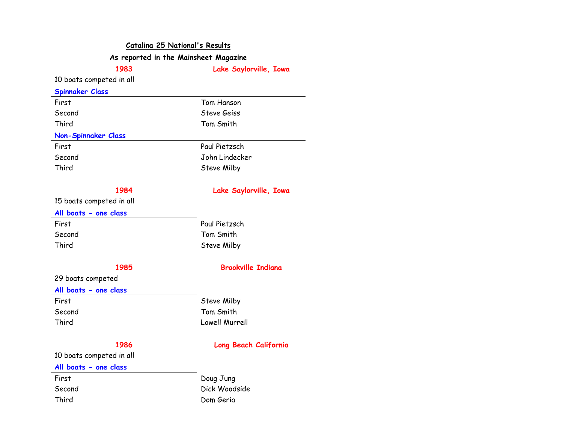### **Catalina 25 National's Results**

# **As reported in the Mainsheet Magazine**

**1983 Lake Saylorville, Iowa** 

## 10 boats competed in all

|  | <b>Spinnaker Class</b> |
|--|------------------------|
|  |                        |

| First                      | Tom Hanson     |
|----------------------------|----------------|
| Second                     | Steve Geiss    |
| Third                      | Tom Smith      |
| <b>Non-Spinnaker Class</b> |                |
| First                      | Paul Pietzsch  |
| Second                     | John Lindecker |
| Third                      | Steve Milby    |
|                            |                |

## **1984 Lake Saylorville, Iowa**

Paul Pietzsch Tom Smith Steve Milby

15 boats competed in all

### **All boats - one class**

| First  |  |  |
|--------|--|--|
| Second |  |  |
| Third  |  |  |

## **1985 Brookville Indiana**

29 boats competed

### **All boats - one class**

First Steve Milby Second Tom Smith Third Lowell Murrell

## **1986 Long Beach California**

10 boats competed in all

## **All boats - one class**

First Doug Jung Second Dick Woodside Third Dom Geria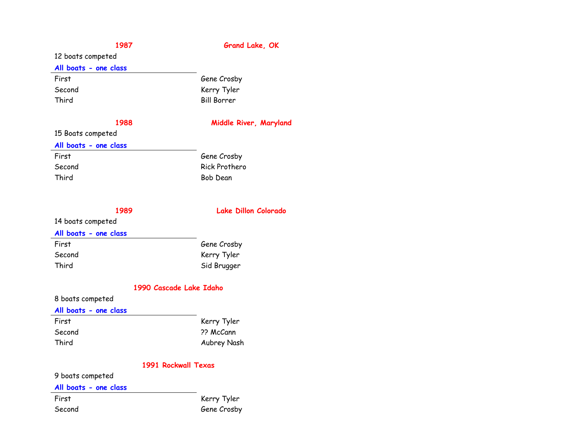# **1987 Grand Lake, OK**

# 12 boats competed

### **All boats - one class**

| First  |  |
|--------|--|
| Second |  |
| Third  |  |

## **1988 Middle River, Maryland**

## 15 Boats competed

### **All boats - one class**

| First  |  |  |
|--------|--|--|
| Second |  |  |
| Third  |  |  |

# Gene Crosby Rick Prothero Bob Dean

Gene Crosby Kerry Tyler Bill Borrer

# **1989 Lake Dillon Colorado**

# 14 boats competed

## **All boats - one class**

| First  | Gene Crosby |
|--------|-------------|
| Second | Kerry Tyler |
| Third  | Sid Brugger |

## **1990 Cascade Lake Idaho**

## 8 boats competed

## **All boats - one class**

| First  | Kerry Tyler |
|--------|-------------|
| Second | ?? McCann   |
| Third  | Aubrey Nash |

# **1991 Rockwall Texas**

## 9 boats competed

### **All boats - one class**

First Kerry Tyler Second Gene Crosby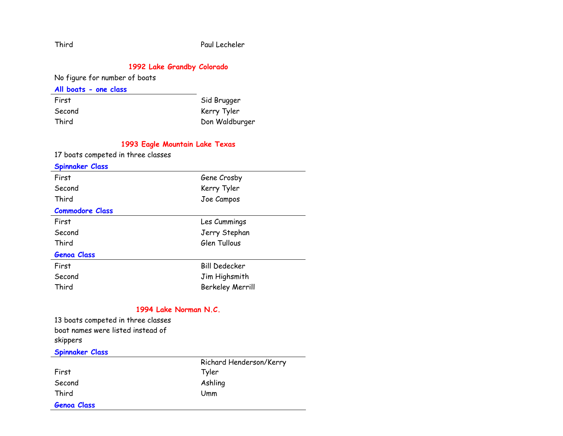## **1992 Lake Grandby Colorado**

No figure for number of boats

## **All boats - one class**

| First  | Sid Brugger    |
|--------|----------------|
| Second | Kerry Tyler    |
| Third  | Don Waldburger |

# **1993 Eagle Mountain Lake Texas**

17 boats competed in three classes

| <b>Spinnaker Class</b> |                         |
|------------------------|-------------------------|
| First                  | Gene Crosby             |
| Second                 | Kerry Tyler             |
| Third                  | Joe Campos              |
| <b>Commodore Class</b> |                         |
| First                  | Les Cummings            |
| Second                 | Jerry Stephan           |
| Third                  | Glen Tullous            |
| <b>Genoa Class</b>     |                         |
| First                  | <b>Bill Dedecker</b>    |
| Second                 | Jim Highsmith           |
| Third                  | <b>Berkeley Merrill</b> |

# **1994 Lake Norman N.C.**

13 boats competed in three classes boat names were listed instead of skippers **Spinnaker Class** 

| <u>__ _. _.</u>    |                         |
|--------------------|-------------------------|
|                    | Richard Henderson/Kerry |
| First              | Tyler                   |
| Second             | Ashling                 |
| Third              | Umm                     |
| <b>Genoa Class</b> |                         |

Third Paul Lecheler